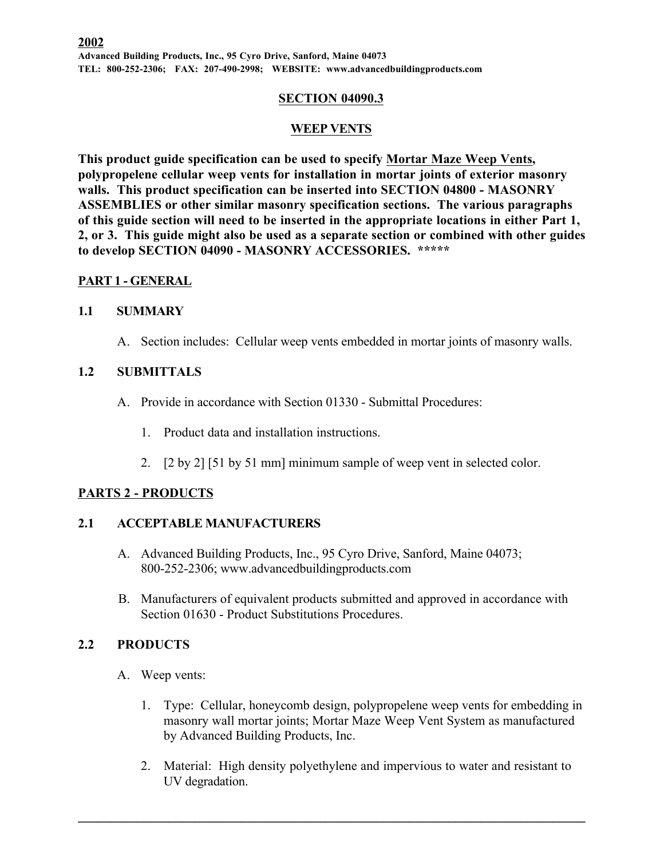#### **SECTION 04090.3**

### **WEEP VENTS**

**This product guide specification can be used to specify Mortar Maze Weep Vents, polypropelene cellular weep vents for installation in mortar joints of exterior masonry walls. This product specification can be inserted into SECTION 04800 - MASONRY ASSEMBLIES or other similar masonry specification sections. The various paragraphs of this guide section will need to be inserted in the appropriate locations in either Part 1, 2, or 3. This guide might also be used as a separate section or combined with other guides to develop SECTION 04090 - MASONRY ACCESSORIES. \*\*\*\*\***

### **PART 1 - GENERAL**

### **1.1 SUMMARY**

A. Section includes: Cellular weep vents embedded in mortar joints of masonry walls.

# **1.2 SUBMITTALS**

- A. Provide in accordance with Section 01330 Submittal Procedures:
	- 1. Product data and installation instructions.
	- 2. [2 by 2] [51 by 51 mm] minimum sample of weep vent in selected color.

## **PARTS 2 - PRODUCTS**

### **2.1 ACCEPTABLE MANUFACTURERS**

- A. Advanced Building Products, Inc., 95 Cyro Drive, Sanford, Maine 04073; 800-252-2306; www.advancedbuildingproducts.com
- B. Manufacturers of equivalent products submitted and approved in accordance with Section 01630 - Product Substitutions Procedures.

## **2.2 PRODUCTS**

- A. Weep vents:
	- 1. Type: Cellular, honeycomb design, polypropelene weep vents for embedding in masonry wall mortar joints; Mortar Maze Weep Vent System as manufactured by Advanced Building Products, Inc.
	- 2. Material: High density polyethylene and impervious to water and resistant to UV degradation.

 $\mathcal{L}_\mathcal{L} = \{ \mathcal{L}_\mathcal{L} = \{ \mathcal{L}_\mathcal{L} = \{ \mathcal{L}_\mathcal{L} = \{ \mathcal{L}_\mathcal{L} = \{ \mathcal{L}_\mathcal{L} = \{ \mathcal{L}_\mathcal{L} = \{ \mathcal{L}_\mathcal{L} = \{ \mathcal{L}_\mathcal{L} = \{ \mathcal{L}_\mathcal{L} = \{ \mathcal{L}_\mathcal{L} = \{ \mathcal{L}_\mathcal{L} = \{ \mathcal{L}_\mathcal{L} = \{ \mathcal{L}_\mathcal{L} = \{ \mathcal{L}_\mathcal{$